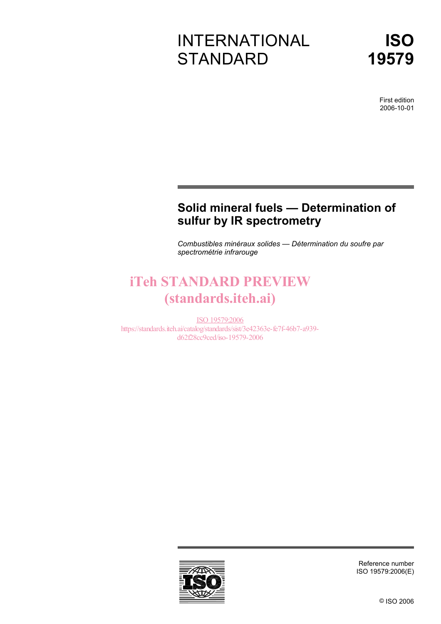# INTERNATIONAL **STANDARD**



First edition 2006-10-01

## **Solid mineral fuels — Determination of sulfur by IR spectrometry**

*Combustibles minéraux solides — Détermination du soufre par spectrométrie infrarouge* 

# iTeh STANDARD PREVIEW (standards.iteh.ai)

ISO 19579:2006 https://standards.iteh.ai/catalog/standards/sist/3e42363e-fe7f-46b7-a939 d62f28cc9ced/iso-19579-2006



Reference number ISO 19579:2006(E)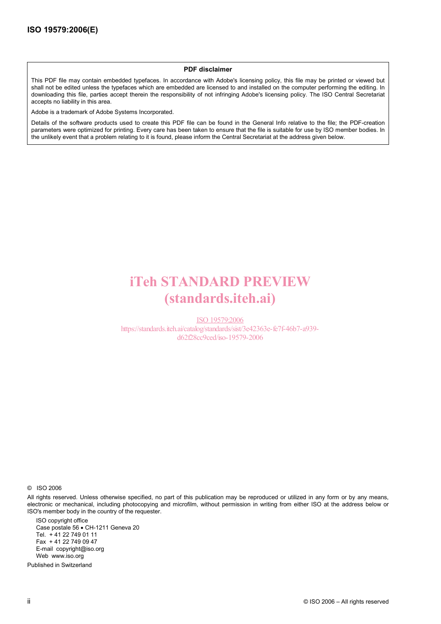#### **PDF disclaimer**

This PDF file may contain embedded typefaces. In accordance with Adobe's licensing policy, this file may be printed or viewed but shall not be edited unless the typefaces which are embedded are licensed to and installed on the computer performing the editing. In downloading this file, parties accept therein the responsibility of not infringing Adobe's licensing policy. The ISO Central Secretariat accepts no liability in this area.

Adobe is a trademark of Adobe Systems Incorporated.

Details of the software products used to create this PDF file can be found in the General Info relative to the file; the PDF-creation parameters were optimized for printing. Every care has been taken to ensure that the file is suitable for use by ISO member bodies. In the unlikely event that a problem relating to it is found, please inform the Central Secretariat at the address given below.

# iTeh STANDARD PREVIEW (standards.iteh.ai)

ISO 19579:2006 https://standards.iteh.ai/catalog/standards/sist/3e42363e-fe7f-46b7-a939 d62f28cc9ced/iso-19579-2006

© ISO 2006

All rights reserved. Unless otherwise specified, no part of this publication may be reproduced or utilized in any form or by any means, electronic or mechanical, including photocopying and microfilm, without permission in writing from either ISO at the address below or ISO's member body in the country of the requester.

ISO copyright office Case postale 56 • CH-1211 Geneva 20 Tel. + 41 22 749 01 11 Fax + 41 22 749 09 47 E-mail copyright@iso.org Web www.iso.org

Published in Switzerland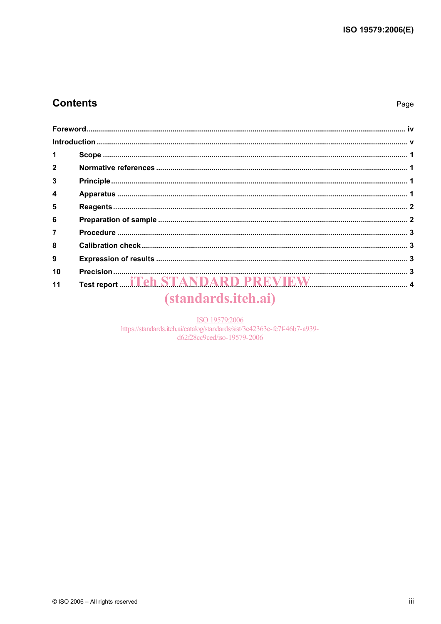## **Contents**

| 1              |                                             |  |
|----------------|---------------------------------------------|--|
| $\overline{2}$ |                                             |  |
| 3              |                                             |  |
| 4              |                                             |  |
| 5              |                                             |  |
| 6              |                                             |  |
| $\overline{7}$ |                                             |  |
| 8              |                                             |  |
| 9              |                                             |  |
| 10             |                                             |  |
| 11             | Test report <i>iTeh STANDARD PREVIEW</i> 44 |  |
|                | <i>(standards.iteh.ai)</i>                  |  |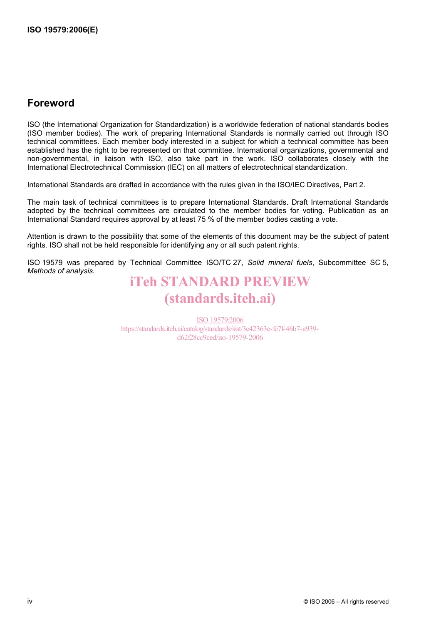## **Foreword**

ISO (the International Organization for Standardization) is a worldwide federation of national standards bodies (ISO member bodies). The work of preparing International Standards is normally carried out through ISO technical committees. Each member body interested in a subject for which a technical committee has been established has the right to be represented on that committee. International organizations, governmental and non-governmental, in liaison with ISO, also take part in the work. ISO collaborates closely with the International Electrotechnical Commission (IEC) on all matters of electrotechnical standardization.

International Standards are drafted in accordance with the rules given in the ISO/IEC Directives, Part 2.

The main task of technical committees is to prepare International Standards. Draft International Standards adopted by the technical committees are circulated to the member bodies for voting. Publication as an International Standard requires approval by at least 75 % of the member bodies casting a vote.

Attention is drawn to the possibility that some of the elements of this document may be the subject of patent rights. ISO shall not be held responsible for identifying any or all such patent rights.

ISO 19579 was prepared by Technical Committee ISO/TC 27, *Solid mineral fuels*, Subcommittee SC 5, *Methods of analysis*.

## iTeh STANDARD PREVIEW (standards.iteh.ai)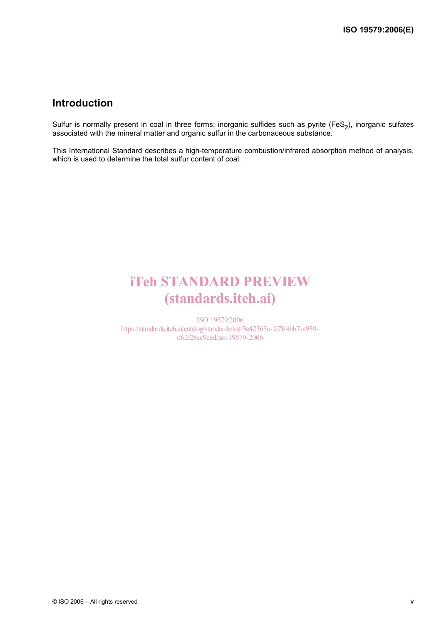### **Introduction**

Sulfur is normally present in coal in three forms; inorganic sulfides such as pyrite (FeS<sub>2</sub>), inorganic sulfates associated with the mineral matter and organic sulfur in the carbonaceous substance.

This International Standard describes a high-temperature combustion/infrared absorption method of analysis, which is used to determine the total sulfur content of coal.

# iTeh STANDARD PREVIEW (standards.iteh.ai)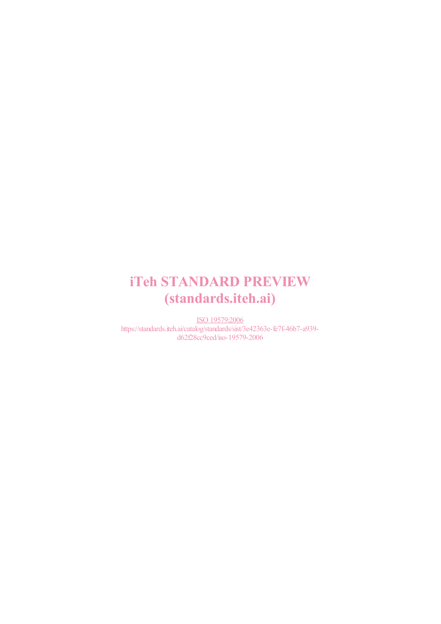# iTeh STANDARD PREVIEW (standards.iteh.ai)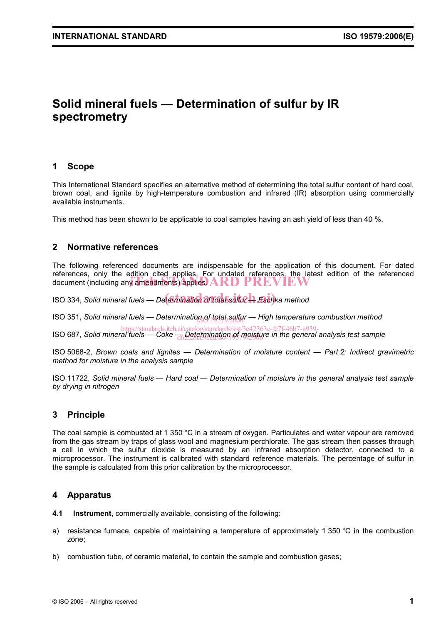## **Solid mineral fuels — Determination of sulfur by IR spectrometry**

### **1 Scope**

This International Standard specifies an alternative method of determining the total sulfur content of hard coal, brown coal, and lignite by high-temperature combustion and infrared (IR) absorption using commercially available instruments.

This method has been shown to be applicable to coal samples having an ash yield of less than 40 %.

### **2 Normative references**

The following referenced documents are indispensable for the application of this document. For dated references, only the edition cited applies. For undated references, the latest edition of the referenced document (including any amendments) applies. For undated Telefences, the Jaces<br>document (including any amendments) applies  $\overrightarrow{ARDPREVEN}$ 

ISO 334, *Solid mineral fuels — Determination of total sulfur — Eschka method* 

ISO 351, *Solid mineral fuels — Determinatio<u>n of total sulf</u>ur — High temperature combustion method* https://standards.iteh.ai/catalog/standards/sist/3e42363e-fe7f-46b7-a939-<br>ISO 687, *Solid mineral fuels* — Coke <sub>The</sub> Determination of moisture in the general analysis test sample

d62f28cc9ced/iso-1*93-1*9-2/800

ISO 5068-2, *Brown coals and lignites — Determination of moisture content — Part 2: Indirect gravimetric method for moisture in the analysis sample* 

ISO 11722, *Solid mineral fuels — Hard coal — Determination of moisture in the general analysis test sample by drying in nitrogen*

### **3 Principle**

The coal sample is combusted at 1 350 °C in a stream of oxygen. Particulates and water vapour are removed from the gas stream by traps of glass wool and magnesium perchlorate. The gas stream then passes through a cell in which the sulfur dioxide is measured by an infrared absorption detector, connected to a microprocessor. The instrument is calibrated with standard reference materials. The percentage of sulfur in the sample is calculated from this prior calibration by the microprocessor.

#### **4 Apparatus**

- **4.1 Instrument**, commercially available, consisting of the following:
- a) resistance furnace, capable of maintaining a temperature of approximately 1 350 °C in the combustion zone;
- b) combustion tube, of ceramic material, to contain the sample and combustion gases;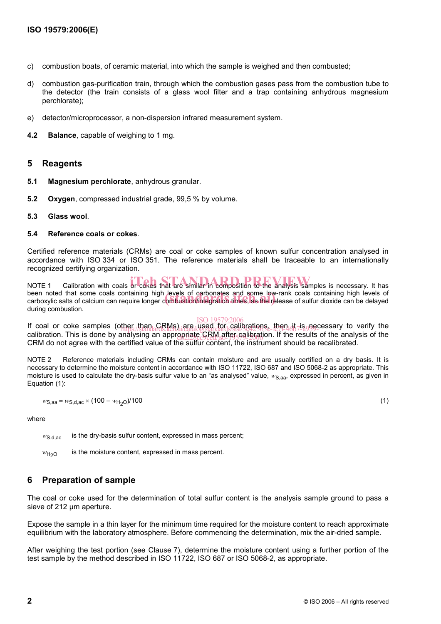- c) combustion boats, of ceramic material, into which the sample is weighed and then combusted;
- d) combustion gas-purification train, through which the combustion gases pass from the combustion tube to the detector (the train consists of a glass wool filter and a trap containing anhydrous magnesium perchlorate);
- e) detector/microprocessor, a non-dispersion infrared measurement system.
- **4.2 Balance**, capable of weighing to 1 mg.

#### **5 Reagents**

- **5.1 Magnesium perchlorate**, anhydrous granular.
- **5.2 Oxygen**, compressed industrial grade, 99,5 % by volume.

#### **5.3 Glass wool**.

#### **5.4 Reference coals or cokes**.

Certified reference materials (CRMs) are coal or coke samples of known sulfur concentration analysed in accordance with ISO 334 or ISO 351. The reference materials shall be traceable to an internationally recognized certifying organization.

NOTE 1 Calibration with coals or cokes that are similar in composition to the analysis samples is necessary. It has been noted that some coals containing high levels of carbonates and some low-rank coals containing high levels of been noted that some coals containing high levels of carbonates and some low-rank coals containing high levels of<br>carboxylic salts of calcium can require longer combustion/integration times, as the release of sulfur dioxid during combustion.

If coal or coke samples (other than CRMs) are used for calibrations, then it is one cessary to verify the  $\frac{1}{2}$ calibration. This is done by analysing an appropriate CRM after calibration. If the results of the analysis of the<br>CDM de not agree with the accident why of the continues of the control of the control of the accelibrated t CRM do not agree with the certified value of the sulfur content, the instrument should be recalibrated. **ISO 10570:200** 

NOTE 2 Reference materials including CRMs can contain moisture and are usually certified on a dry basis. It is necessary to determine the moisture content in accordance with ISO 11722, ISO 687 and ISO 5068-2 as appropriate. This moisture is used to calculate the dry-basis sulfur value to an "as analysed" value,  $w_{S,aa}$ , expressed in percent, as given in Equation (1):

$$
w_{\rm S,aa} = w_{\rm S,d,ac} \times (100 - w_{\rm H_2O})/100 \tag{1}
$$

#### where

 $w_{\rm S.d.ac}$  is the dry-basis sulfur content, expressed in mass percent;

 $w_{H<sub>2</sub>O}$  is the moisture content, expressed in mass percent.

### **6 Preparation of sample**

The coal or coke used for the determination of total sulfur content is the analysis sample ground to pass a sieve of 212 um aperture.

Expose the sample in a thin layer for the minimum time required for the moisture content to reach approximate equilibrium with the laboratory atmosphere. Before commencing the determination, mix the air-dried sample.

After weighing the test portion (see Clause 7), determine the moisture content using a further portion of the test sample by the method described in ISO 11722, ISO 687 or ISO 5068-2, as appropriate.